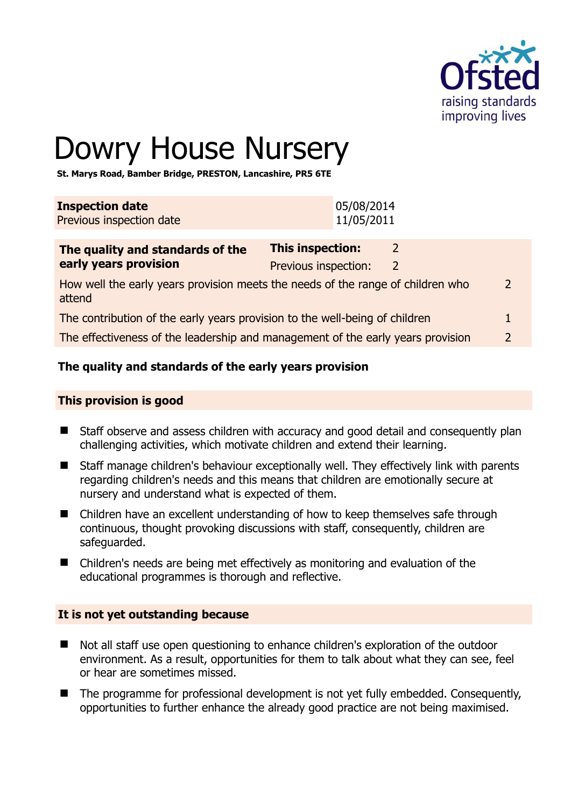

# Dowry House Nursery

**St. Marys Road, Bamber Bridge, PRESTON, Lancashire, PR5 6TE** 

| <b>Inspection date</b>   | 05/08/2014 |
|--------------------------|------------|
| Previous inspection date | 11/05/2011 |
|                          |            |

| The quality and standards of the                                                          | <b>This inspection:</b> |               |
|-------------------------------------------------------------------------------------------|-------------------------|---------------|
| early years provision                                                                     | Previous inspection:    |               |
| How well the early years provision meets the needs of the range of children who<br>attend |                         | $\mathcal{L}$ |
| The contribution of the early years provision to the well-being of children               |                         |               |
| The effectiveness of the leadership and management of the early years provision           |                         | $\mathcal{P}$ |

# **The quality and standards of the early years provision**

#### **This provision is good**

- Staff observe and assess children with accuracy and good detail and consequently plan challenging activities, which motivate children and extend their learning.
- Staff manage children's behaviour exceptionally well. They effectively link with parents regarding children's needs and this means that children are emotionally secure at nursery and understand what is expected of them.
- Children have an excellent understanding of how to keep themselves safe through continuous, thought provoking discussions with staff, consequently, children are safeguarded.
- Children's needs are being met effectively as monitoring and evaluation of the educational programmes is thorough and reflective.

#### **It is not yet outstanding because**

- Not all staff use open questioning to enhance children's exploration of the outdoor environment. As a result, opportunities for them to talk about what they can see, feel or hear are sometimes missed.
- The programme for professional development is not yet fully embedded. Consequently, opportunities to further enhance the already good practice are not being maximised.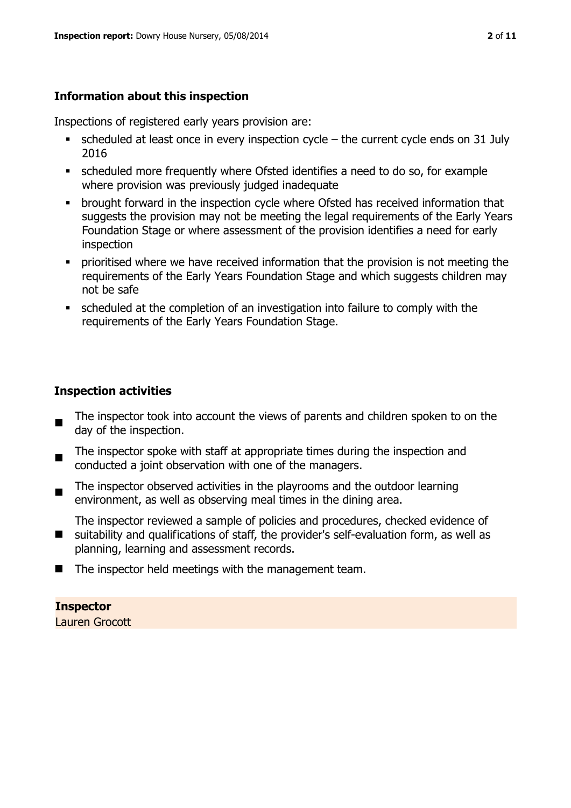#### **Information about this inspection**

Inspections of registered early years provision are:

- $\bullet$  scheduled at least once in every inspection cycle the current cycle ends on 31 July 2016
- scheduled more frequently where Ofsted identifies a need to do so, for example where provision was previously judged inadequate
- **•** brought forward in the inspection cycle where Ofsted has received information that suggests the provision may not be meeting the legal requirements of the Early Years Foundation Stage or where assessment of the provision identifies a need for early inspection
- **•** prioritised where we have received information that the provision is not meeting the requirements of the Early Years Foundation Stage and which suggests children may not be safe
- scheduled at the completion of an investigation into failure to comply with the requirements of the Early Years Foundation Stage.

#### **Inspection activities**

- $\blacksquare$ The inspector took into account the views of parents and children spoken to on the day of the inspection.
- The inspector spoke with staff at appropriate times during the inspection and conducted a joint observation with one of the managers.
- $\blacksquare$ The inspector observed activities in the playrooms and the outdoor learning environment, as well as observing meal times in the dining area.
- $\blacksquare$ The inspector reviewed a sample of policies and procedures, checked evidence of suitability and qualifications of staff, the provider's self-evaluation form, as well as planning, learning and assessment records.
- $\blacksquare$  The inspector held meetings with the management team.

# **Inspector**

Lauren Grocott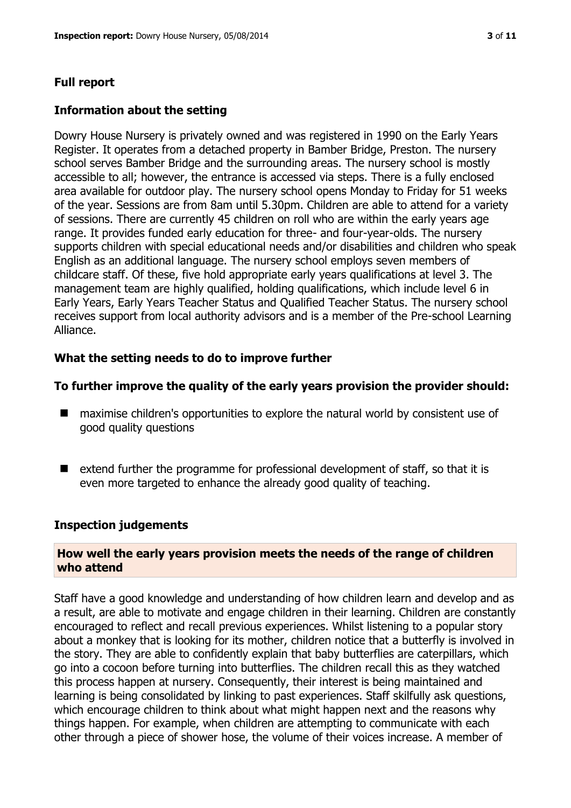#### **Full report**

#### **Information about the setting**

Dowry House Nursery is privately owned and was registered in 1990 on the Early Years Register. It operates from a detached property in Bamber Bridge, Preston. The nursery school serves Bamber Bridge and the surrounding areas. The nursery school is mostly accessible to all; however, the entrance is accessed via steps. There is a fully enclosed area available for outdoor play. The nursery school opens Monday to Friday for 51 weeks of the year. Sessions are from 8am until 5.30pm. Children are able to attend for a variety of sessions. There are currently 45 children on roll who are within the early years age range. It provides funded early education for three- and four-year-olds. The nursery supports children with special educational needs and/or disabilities and children who speak English as an additional language. The nursery school employs seven members of childcare staff. Of these, five hold appropriate early years qualifications at level 3. The management team are highly qualified, holding qualifications, which include level 6 in Early Years, Early Years Teacher Status and Qualified Teacher Status. The nursery school receives support from local authority advisors and is a member of the Pre-school Learning Alliance.

#### **What the setting needs to do to improve further**

#### **To further improve the quality of the early years provision the provider should:**

- maximise children's opportunities to explore the natural world by consistent use of good quality questions
- $\blacksquare$  extend further the programme for professional development of staff, so that it is even more targeted to enhance the already good quality of teaching.

#### **Inspection judgements**

#### **How well the early years provision meets the needs of the range of children who attend**

Staff have a good knowledge and understanding of how children learn and develop and as a result, are able to motivate and engage children in their learning. Children are constantly encouraged to reflect and recall previous experiences. Whilst listening to a popular story about a monkey that is looking for its mother, children notice that a butterfly is involved in the story. They are able to confidently explain that baby butterflies are caterpillars, which go into a cocoon before turning into butterflies. The children recall this as they watched this process happen at nursery. Consequently, their interest is being maintained and learning is being consolidated by linking to past experiences. Staff skilfully ask questions, which encourage children to think about what might happen next and the reasons why things happen. For example, when children are attempting to communicate with each other through a piece of shower hose, the volume of their voices increase. A member of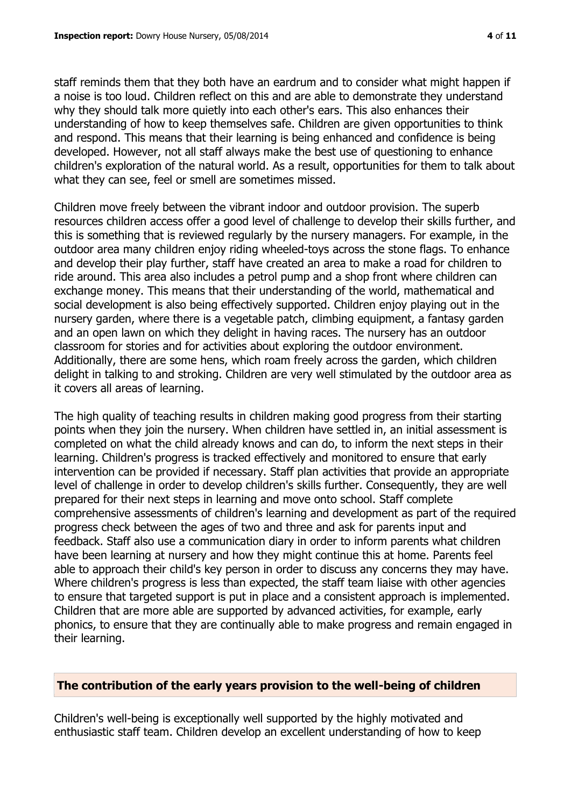staff reminds them that they both have an eardrum and to consider what might happen if a noise is too loud. Children reflect on this and are able to demonstrate they understand why they should talk more quietly into each other's ears. This also enhances their understanding of how to keep themselves safe. Children are given opportunities to think and respond. This means that their learning is being enhanced and confidence is being developed. However, not all staff always make the best use of questioning to enhance children's exploration of the natural world. As a result, opportunities for them to talk about what they can see, feel or smell are sometimes missed.

Children move freely between the vibrant indoor and outdoor provision. The superb resources children access offer a good level of challenge to develop their skills further, and this is something that is reviewed regularly by the nursery managers. For example, in the outdoor area many children enjoy riding wheeled-toys across the stone flags. To enhance and develop their play further, staff have created an area to make a road for children to ride around. This area also includes a petrol pump and a shop front where children can exchange money. This means that their understanding of the world, mathematical and social development is also being effectively supported. Children enjoy playing out in the nursery garden, where there is a vegetable patch, climbing equipment, a fantasy garden and an open lawn on which they delight in having races. The nursery has an outdoor classroom for stories and for activities about exploring the outdoor environment. Additionally, there are some hens, which roam freely across the garden, which children delight in talking to and stroking. Children are very well stimulated by the outdoor area as it covers all areas of learning.

The high quality of teaching results in children making good progress from their starting points when they join the nursery. When children have settled in, an initial assessment is completed on what the child already knows and can do, to inform the next steps in their learning. Children's progress is tracked effectively and monitored to ensure that early intervention can be provided if necessary. Staff plan activities that provide an appropriate level of challenge in order to develop children's skills further. Consequently, they are well prepared for their next steps in learning and move onto school. Staff complete comprehensive assessments of children's learning and development as part of the required progress check between the ages of two and three and ask for parents input and feedback. Staff also use a communication diary in order to inform parents what children have been learning at nursery and how they might continue this at home. Parents feel able to approach their child's key person in order to discuss any concerns they may have. Where children's progress is less than expected, the staff team liaise with other agencies to ensure that targeted support is put in place and a consistent approach is implemented. Children that are more able are supported by advanced activities, for example, early phonics, to ensure that they are continually able to make progress and remain engaged in their learning.

# **The contribution of the early years provision to the well-being of children**

Children's well-being is exceptionally well supported by the highly motivated and enthusiastic staff team. Children develop an excellent understanding of how to keep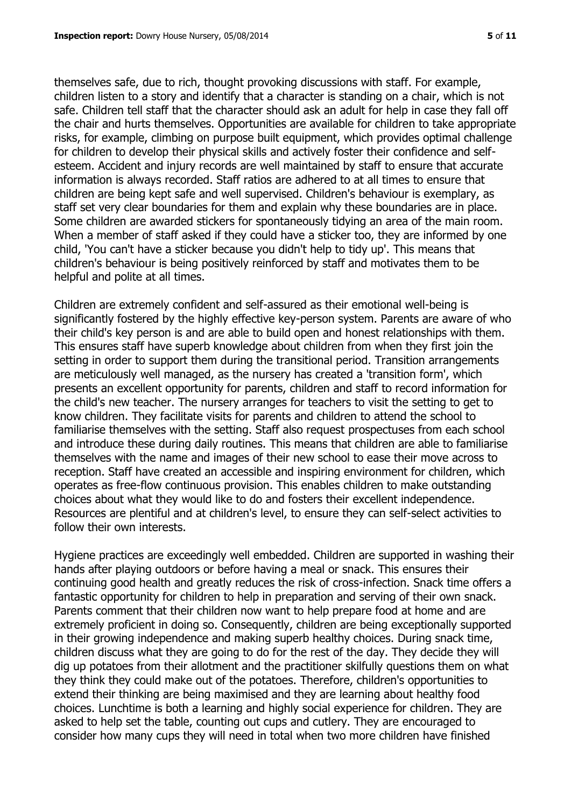themselves safe, due to rich, thought provoking discussions with staff. For example, children listen to a story and identify that a character is standing on a chair, which is not safe. Children tell staff that the character should ask an adult for help in case they fall off the chair and hurts themselves. Opportunities are available for children to take appropriate risks, for example, climbing on purpose built equipment, which provides optimal challenge for children to develop their physical skills and actively foster their confidence and selfesteem. Accident and injury records are well maintained by staff to ensure that accurate information is always recorded. Staff ratios are adhered to at all times to ensure that children are being kept safe and well supervised. Children's behaviour is exemplary, as staff set very clear boundaries for them and explain why these boundaries are in place. Some children are awarded stickers for spontaneously tidying an area of the main room. When a member of staff asked if they could have a sticker too, they are informed by one child, 'You can't have a sticker because you didn't help to tidy up'. This means that children's behaviour is being positively reinforced by staff and motivates them to be helpful and polite at all times.

Children are extremely confident and self-assured as their emotional well-being is significantly fostered by the highly effective key-person system. Parents are aware of who their child's key person is and are able to build open and honest relationships with them. This ensures staff have superb knowledge about children from when they first join the setting in order to support them during the transitional period. Transition arrangements are meticulously well managed, as the nursery has created a 'transition form', which presents an excellent opportunity for parents, children and staff to record information for the child's new teacher. The nursery arranges for teachers to visit the setting to get to know children. They facilitate visits for parents and children to attend the school to familiarise themselves with the setting. Staff also request prospectuses from each school and introduce these during daily routines. This means that children are able to familiarise themselves with the name and images of their new school to ease their move across to reception. Staff have created an accessible and inspiring environment for children, which operates as free-flow continuous provision. This enables children to make outstanding choices about what they would like to do and fosters their excellent independence. Resources are plentiful and at children's level, to ensure they can self-select activities to follow their own interests.

Hygiene practices are exceedingly well embedded. Children are supported in washing their hands after playing outdoors or before having a meal or snack. This ensures their continuing good health and greatly reduces the risk of cross-infection. Snack time offers a fantastic opportunity for children to help in preparation and serving of their own snack. Parents comment that their children now want to help prepare food at home and are extremely proficient in doing so. Consequently, children are being exceptionally supported in their growing independence and making superb healthy choices. During snack time, children discuss what they are going to do for the rest of the day. They decide they will dig up potatoes from their allotment and the practitioner skilfully questions them on what they think they could make out of the potatoes. Therefore, children's opportunities to extend their thinking are being maximised and they are learning about healthy food choices. Lunchtime is both a learning and highly social experience for children. They are asked to help set the table, counting out cups and cutlery. They are encouraged to consider how many cups they will need in total when two more children have finished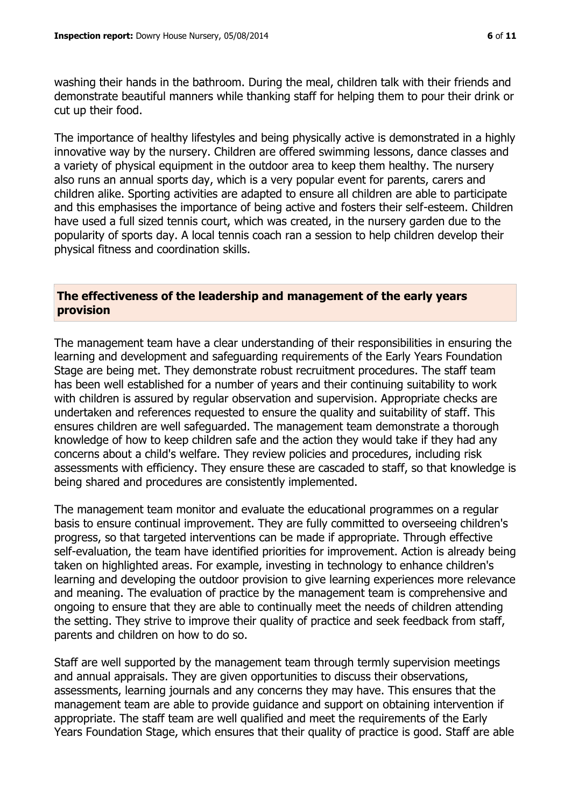washing their hands in the bathroom. During the meal, children talk with their friends and demonstrate beautiful manners while thanking staff for helping them to pour their drink or cut up their food.

The importance of healthy lifestyles and being physically active is demonstrated in a highly innovative way by the nursery. Children are offered swimming lessons, dance classes and a variety of physical equipment in the outdoor area to keep them healthy. The nursery also runs an annual sports day, which is a very popular event for parents, carers and children alike. Sporting activities are adapted to ensure all children are able to participate and this emphasises the importance of being active and fosters their self-esteem. Children have used a full sized tennis court, which was created, in the nursery garden due to the popularity of sports day. A local tennis coach ran a session to help children develop their physical fitness and coordination skills.

#### **The effectiveness of the leadership and management of the early years provision**

The management team have a clear understanding of their responsibilities in ensuring the learning and development and safeguarding requirements of the Early Years Foundation Stage are being met. They demonstrate robust recruitment procedures. The staff team has been well established for a number of years and their continuing suitability to work with children is assured by regular observation and supervision. Appropriate checks are undertaken and references requested to ensure the quality and suitability of staff. This ensures children are well safeguarded. The management team demonstrate a thorough knowledge of how to keep children safe and the action they would take if they had any concerns about a child's welfare. They review policies and procedures, including risk assessments with efficiency. They ensure these are cascaded to staff, so that knowledge is being shared and procedures are consistently implemented.

The management team monitor and evaluate the educational programmes on a regular basis to ensure continual improvement. They are fully committed to overseeing children's progress, so that targeted interventions can be made if appropriate. Through effective self-evaluation, the team have identified priorities for improvement. Action is already being taken on highlighted areas. For example, investing in technology to enhance children's learning and developing the outdoor provision to give learning experiences more relevance and meaning. The evaluation of practice by the management team is comprehensive and ongoing to ensure that they are able to continually meet the needs of children attending the setting. They strive to improve their quality of practice and seek feedback from staff, parents and children on how to do so.

Staff are well supported by the management team through termly supervision meetings and annual appraisals. They are given opportunities to discuss their observations, assessments, learning journals and any concerns they may have. This ensures that the management team are able to provide guidance and support on obtaining intervention if appropriate. The staff team are well qualified and meet the requirements of the Early Years Foundation Stage, which ensures that their quality of practice is good. Staff are able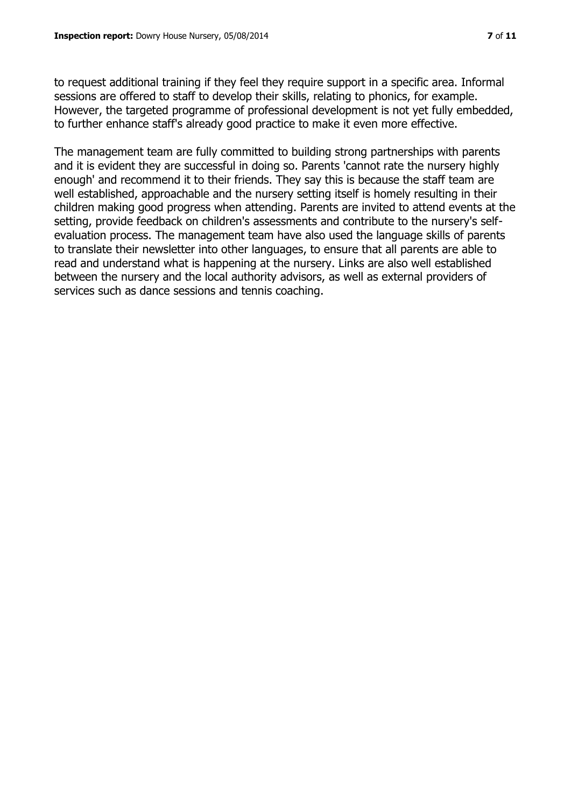to request additional training if they feel they require support in a specific area. Informal sessions are offered to staff to develop their skills, relating to phonics, for example. However, the targeted programme of professional development is not yet fully embedded, to further enhance staff's already good practice to make it even more effective.

The management team are fully committed to building strong partnerships with parents and it is evident they are successful in doing so. Parents 'cannot rate the nursery highly enough' and recommend it to their friends. They say this is because the staff team are well established, approachable and the nursery setting itself is homely resulting in their children making good progress when attending. Parents are invited to attend events at the setting, provide feedback on children's assessments and contribute to the nursery's selfevaluation process. The management team have also used the language skills of parents to translate their newsletter into other languages, to ensure that all parents are able to read and understand what is happening at the nursery. Links are also well established between the nursery and the local authority advisors, as well as external providers of services such as dance sessions and tennis coaching.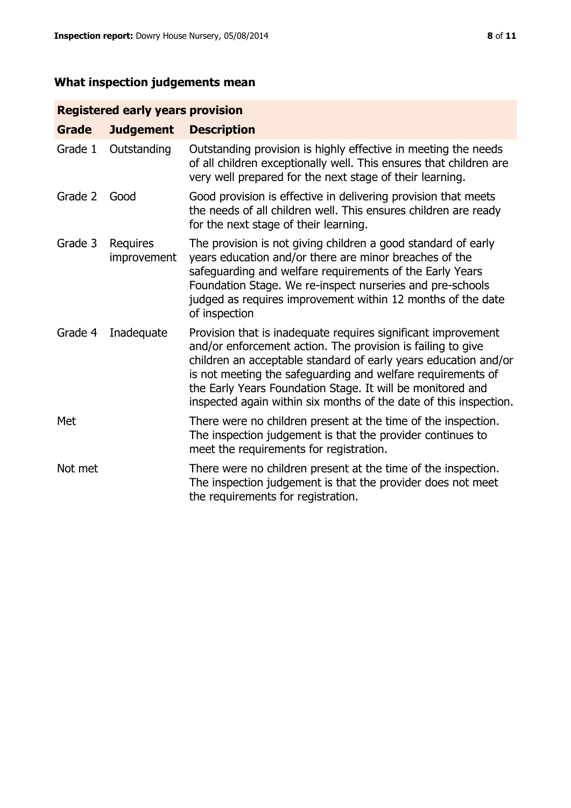# **What inspection judgements mean**

# **Registered early years provision**

| <b>Grade</b> | <b>Judgement</b>               | <b>Description</b>                                                                                                                                                                                                                                                                                                                                                                                |
|--------------|--------------------------------|---------------------------------------------------------------------------------------------------------------------------------------------------------------------------------------------------------------------------------------------------------------------------------------------------------------------------------------------------------------------------------------------------|
| Grade 1      | Outstanding                    | Outstanding provision is highly effective in meeting the needs<br>of all children exceptionally well. This ensures that children are<br>very well prepared for the next stage of their learning.                                                                                                                                                                                                  |
| Grade 2      | Good                           | Good provision is effective in delivering provision that meets<br>the needs of all children well. This ensures children are ready<br>for the next stage of their learning.                                                                                                                                                                                                                        |
| Grade 3      | <b>Requires</b><br>improvement | The provision is not giving children a good standard of early<br>years education and/or there are minor breaches of the<br>safeguarding and welfare requirements of the Early Years<br>Foundation Stage. We re-inspect nurseries and pre-schools<br>judged as requires improvement within 12 months of the date<br>of inspection                                                                  |
| Grade 4      | Inadequate                     | Provision that is inadequate requires significant improvement<br>and/or enforcement action. The provision is failing to give<br>children an acceptable standard of early years education and/or<br>is not meeting the safeguarding and welfare requirements of<br>the Early Years Foundation Stage. It will be monitored and<br>inspected again within six months of the date of this inspection. |
| Met          |                                | There were no children present at the time of the inspection.<br>The inspection judgement is that the provider continues to<br>meet the requirements for registration.                                                                                                                                                                                                                            |
| Not met      |                                | There were no children present at the time of the inspection.<br>The inspection judgement is that the provider does not meet<br>the requirements for registration.                                                                                                                                                                                                                                |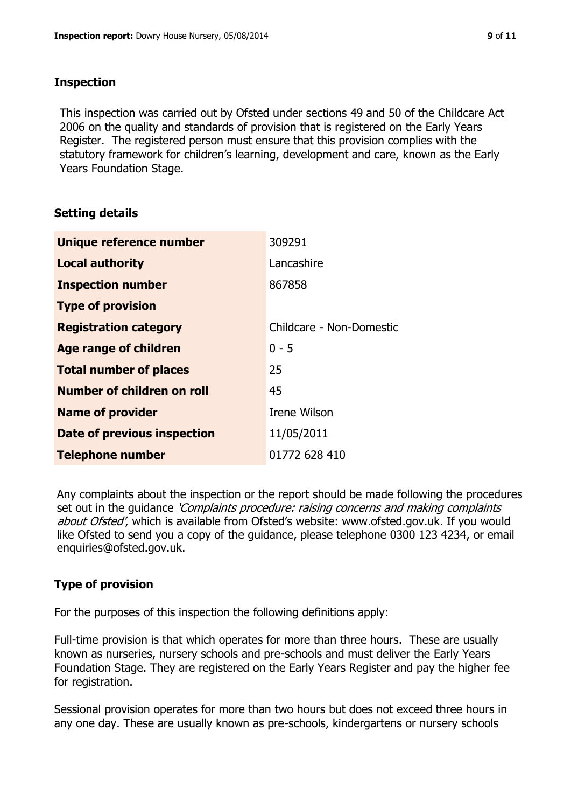#### **Inspection**

This inspection was carried out by Ofsted under sections 49 and 50 of the Childcare Act 2006 on the quality and standards of provision that is registered on the Early Years Register. The registered person must ensure that this provision complies with the statutory framework for children's learning, development and care, known as the Early Years Foundation Stage.

# **Setting details**

| Unique reference number       | 309291                   |
|-------------------------------|--------------------------|
| <b>Local authority</b>        | Lancashire               |
| <b>Inspection number</b>      | 867858                   |
| <b>Type of provision</b>      |                          |
| <b>Registration category</b>  | Childcare - Non-Domestic |
| Age range of children         | $0 - 5$                  |
| <b>Total number of places</b> | 25                       |
| Number of children on roll    | 45                       |
| <b>Name of provider</b>       | Irene Wilson             |
| Date of previous inspection   | 11/05/2011               |
| <b>Telephone number</b>       | 01772 628 410            |

Any complaints about the inspection or the report should be made following the procedures set out in the guidance *'Complaints procedure: raising concerns and making complaints* about Ofsted', which is available from Ofsted's website: www.ofsted.gov.uk. If you would like Ofsted to send you a copy of the guidance, please telephone 0300 123 4234, or email enquiries@ofsted.gov.uk.

# **Type of provision**

For the purposes of this inspection the following definitions apply:

Full-time provision is that which operates for more than three hours. These are usually known as nurseries, nursery schools and pre-schools and must deliver the Early Years Foundation Stage. They are registered on the Early Years Register and pay the higher fee for registration.

Sessional provision operates for more than two hours but does not exceed three hours in any one day. These are usually known as pre-schools, kindergartens or nursery schools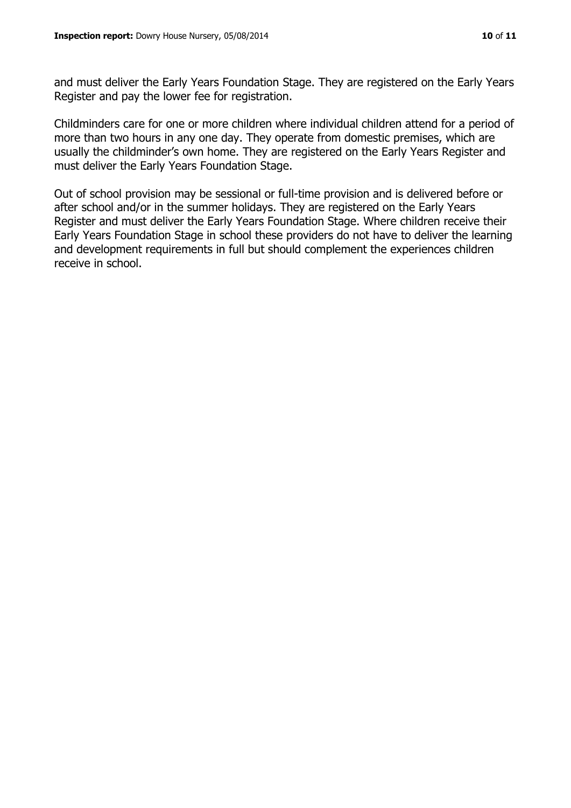and must deliver the Early Years Foundation Stage. They are registered on the Early Years Register and pay the lower fee for registration.

Childminders care for one or more children where individual children attend for a period of more than two hours in any one day. They operate from domestic premises, which are usually the childminder's own home. They are registered on the Early Years Register and must deliver the Early Years Foundation Stage.

Out of school provision may be sessional or full-time provision and is delivered before or after school and/or in the summer holidays. They are registered on the Early Years Register and must deliver the Early Years Foundation Stage. Where children receive their Early Years Foundation Stage in school these providers do not have to deliver the learning and development requirements in full but should complement the experiences children receive in school.